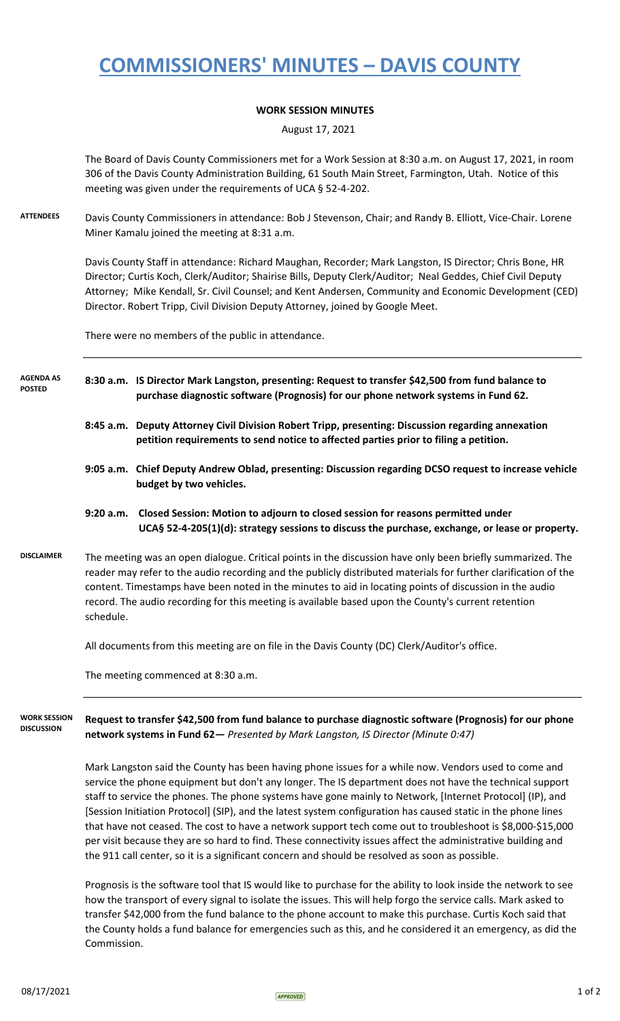## **COMMISSIONERS' MINUTES – DAVIS COUNTY**

## **WORK SESSION MINUTES**

August 17, 2021

The Board of Davis County Commissioners met for a Work Session at 8:30 a.m. on August 17, 2021, in room 306 of the Davis County Administration Building, 61 South Main Street, Farmington, Utah. Notice of this meeting was given under the requirements of UCA § 52-4-202.

**ATTENDEES** Davis County Commissioners in attendance: Bob J Stevenson, Chair; and Randy B. Elliott, Vice-Chair. Lorene Miner Kamalu joined the meeting at 8:31 a.m.

> Davis County Staff in attendance: Richard Maughan, Recorder; Mark Langston, IS Director; Chris Bone, HR Director; Curtis Koch, Clerk/Auditor; Shairise Bills, Deputy Clerk/Auditor; Neal Geddes, Chief Civil Deputy Attorney; Mike Kendall, Sr. Civil Counsel; and Kent Andersen, Community and Economic Development (CED) Director. Robert Tripp, Civil Division Deputy Attorney, joined by Google Meet.

There were no members of the public in attendance.

- **8:30 a.m. IS Director Mark Langston, presenting: Request to transfer \$42,500 from fund balance to purchase diagnostic software (Prognosis) for our phone network systems in Fund 62. AGENDA AS POSTED**
	- **8:45 a.m. Deputy Attorney Civil Division Robert Tripp, presenting: Discussion regarding annexation petition requirements to send notice to affected parties prior to filing a petition.**
	- **9:05 a.m. Chief Deputy Andrew Oblad, presenting: Discussion regarding DCSO request to increase vehicle budget by two vehicles.**
	- **9:20 a.m. Closed Session: Motion to adjourn to closed session for reasons permitted under UCA§ 52-4-205(1)(d): strategy sessions to discuss the purchase, exchange, or lease or property.**
- **DISCLAIMER** The meeting was an open dialogue. Critical points in the discussion have only been briefly summarized. The reader may refer to the audio recording and the publicly distributed materials for further clarification of the content. Timestamps have been noted in the minutes to aid in locating points of discussion in the audio record. The audio recording for this meeting is available based upon the County's current retention schedule.

All documents from this meeting are on file in the Davis County (DC) Clerk/Auditor's office.

The meeting commenced at 8:30 a.m.

**Request to transfer \$42,500 from fund balance to purchase diagnostic software (Prognosis) for our phone network systems in Fund 62—** *Presented by Mark Langston, IS Director (Minute 0:47)* **WORK SESSION DISCUSSION**

> Mark Langston said the County has been having phone issues for a while now. Vendors used to come and service the phone equipment but don't any longer. The IS department does not have the technical support staff to service the phones. The phone systems have gone mainly to Network, [Internet Protocol] (IP), and [Session Initiation Protocol] (SIP), and the latest system configuration has caused static in the phone lines that have not ceased. The cost to have a network support tech come out to troubleshoot is \$8,000-\$15,000 per visit because they are so hard to find. These connectivity issues affect the administrative building and the 911 call center, so it is a significant concern and should be resolved as soon as possible.

> Prognosis is the software tool that IS would like to purchase for the ability to look inside the network to see how the transport of every signal to isolate the issues. This will help forgo the service calls. Mark asked to transfer \$42,000 from the fund balance to the phone account to make this purchase. Curtis Koch said that the County holds a fund balance for emergencies such as this, and he considered it an emergency, as did the Commission.